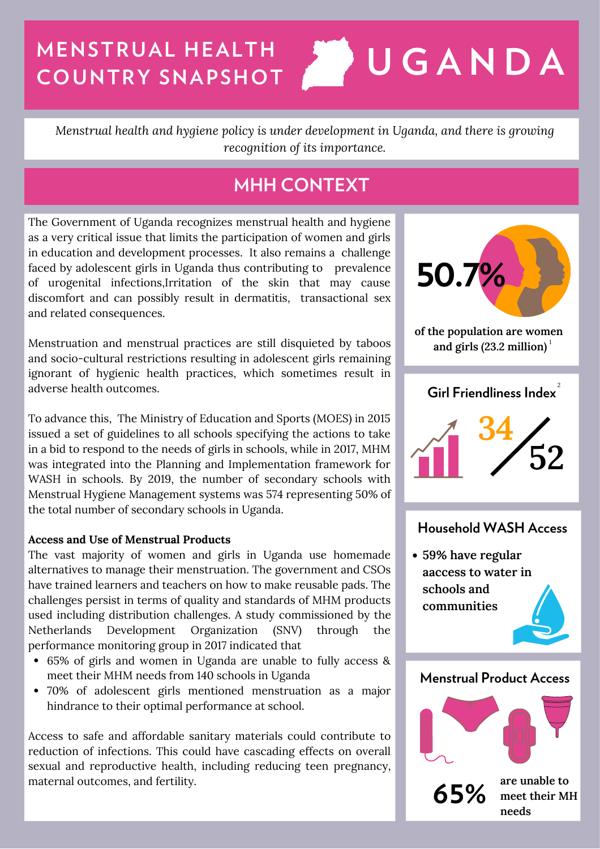# **MENSTRUAL HEALTH COUNTRY SNAPSHOT U G A N D A**

*Menstrual health and hygiene policy is under development in Uganda, and there is growing recognition of its importance.*

# **MHH CONTEXT**

The Government of Uganda recognizes menstrual health and hygiene as a very critical issue that limits the participation of women and girls in education and development processes. It also remains a challenge faced by adolescent girls in Uganda thus contributing to prevalence of urogenital infections,Irritation of the skin that may cause discomfort and can possibly result in dermatitis, transactional sex and related consequences.

Menstruation and menstrual practices are still disquieted by taboos and socio-cultural restrictions resulting in adolescent girls remaining ignorant of hygienic health practices, which sometimes result in adverse health outcomes.

To advance this, The Ministry of Education and Sports (MOES) in 2015 issued a set of guidelines to all schools specifying the actions to take in a bid to respond to the needs of girls in schools, while in 2017, MHM was integrated into the Planning and Implementation framework for WASH in schools. By 2019, the number of secondary schools with Menstrual Hygiene Management systems was 574 representing 50% of the total number of secondary schools in Uganda.

## **Access and Use of Menstrual Products**

The vast majority of women and girls in Uganda use homemade alternatives to manage their menstruation. The government and CSOs have trained learners and teachers on how to make reusable pads. The challenges persist in terms of quality and standards of MHM products used including distribution challenges. A study commissioned by the Netherlands Development Organization (SNV) through the performance monitoring group in 2017 indicated that

- 65% of girls and women in Uganda are unable to fully access & meet their MHM needs from 140 schools in Uganda
- 70% of adolescent girls mentioned menstruation as a major hindrance to their optimal performance at school.

Access to safe and affordable sanitary materials could contribute to reduction of infections. This could have cascading effects on overall sexual and reproductive health, including reducing teen pregnancy, maternal outcomes, and fertility.



**meet their MH needs**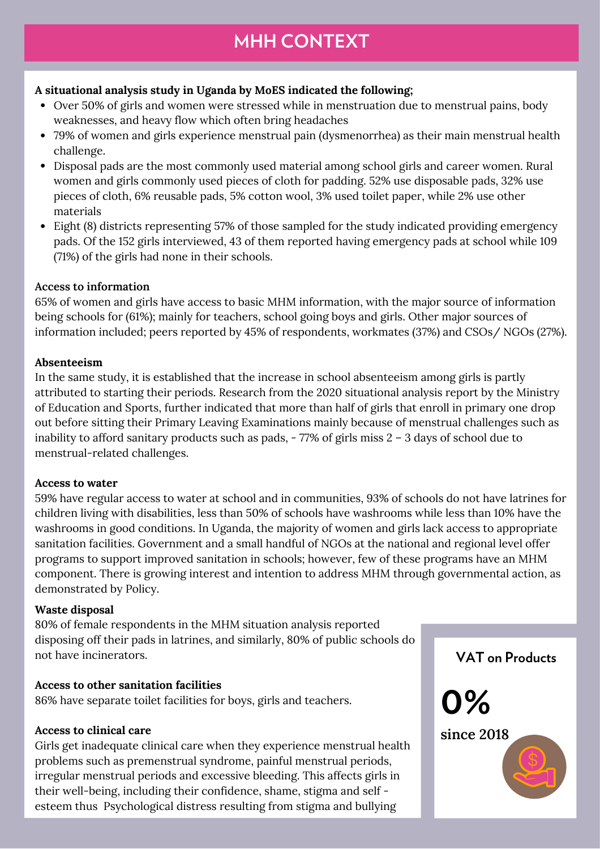## **A situational analysis study in Uganda by MoES indicated the following;**

- Over 50% of girls and women were stressed while in menstruation due to menstrual pains, body weaknesses, and heavy flow which often bring headaches
- 79% of women and girls experience menstrual pain (dysmenorrhea) as their main menstrual health challenge.
- Disposal pads are the most commonly used material among school girls and career women. Rural women and girls commonly used pieces of cloth for padding. 52% use disposable pads, 32% use pieces of cloth, 6% reusable pads, 5% cotton wool, 3% used toilet paper, while 2% use other materials
- Eight (8) districts representing 57% of those sampled for the study indicated providing emergency pads. Of the 152 girls interviewed, 43 of them reported having emergency pads at school while 109 (71%) of the girls had none in their schools.

#### **Access to information**

65% of women and girls have access to basic MHM information, with the major source of information being schools for (61%); mainly for teachers, school going boys and girls. Other major sources of information included; peers reported by 45% of respondents, workmates (37%) and CSOs/ NGOs (27%).

#### **Absenteeism**

In the same study, it is established that the increase in school absenteeism among girls is partly attributed to starting their periods. Research from the 2020 situational analysis report by the Ministry of Education and Sports, further indicated that more than half of girls that enroll in primary one drop out before sitting their Primary Leaving Examinations mainly because of menstrual challenges such as inability to afford sanitary products such as pads, - 77% of girls miss 2 - 3 days of school due to menstrual-related challenges.

#### **Access to water**

59% have regular access to water at school and in communities, 93% of schools do not have latrines for children living with disabilities, less than 50% of schools have washrooms while less than 10% have the washrooms in good conditions. In Uganda, the majority of women and girls lack access to appropriate sanitation facilities. Government and a small handful of NGOs at the national and regional level offer programs to support improved sanitation in schools; however, few of these programs have an MHM component. There is growing interest and intention to address MHM through governmental action, as demonstrated by Policy.

## **Waste disposal**

80% of female respondents in the MHM situation analysis reported disposing off their pads in latrines, and similarly, 80% of public schools do not have incinerators.

## **Access to other sanitation facilities**

86% have separate toilet facilities for boys, girls and teachers.

#### **Access to clinical care**

Girls get inadequate clinical care when they experience menstrual health problems such as premenstrual syndrome, painful menstrual periods, irregular menstrual periods and excessive bleeding. This affects girls in their well-being, including their confidence, shame, stigma and self esteem thus Psychological distress resulting from stigma and bullying